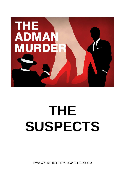

# **THE SUSPECTS**

**©WWW.SHOTINTHEDARKMYSTERIES.COM**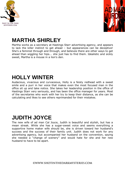



# **MARTHA SHIRLEY**

Martha works as a secretary at Hastings Starr advertising agency, and appears to lack the killer instinct to get ahead – but appearances can be deceptive! She's a feminist through and through, and believes there are other ways to get ahead than wiggling her hips... she just has to find them. Idealistic and sickly sweet, Martha is a mouse in a lion's den.

## **HOLLY WINTER**

Audacious, vivacious and curvaceous, Holly is a feisty redhead with a sweet smile and a purr in her voice that makes even the most focused man in the office sit up and take notice. She takes her leadership position in the office of Hastings Starr very seriously, and has been the office manager for years. Most of the secretaries who work with her try to keep their distance, as she can be calculating and likes to see others reprimanded for their mistakes.

## **JUDITH JOYCE**

The new wife of ad man Cal Joyce, Judith is beautiful and stylish, but has a mean streak. While she has a sugar-sweet voice and seems everything a supportive home maker wife should be, she is driven toward her husband's success and the success of their family unit. Judith does not work for any advertising agency, but accompanied her husband on the convention, saying she needed a "change of scenery" and would hate for she and her new husband to have to be apart.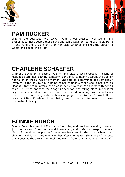



#### **PAM RUCKER**

Wife of the deceased, Vic Rucker, Pam is well-dressed, well-spoken and proper. Like most people these days she can always be found with a cigarette in one hand and a giant smile on her face, whether she likes the person to whom she's speaking or not.

## **CHARLENE SCHAEFER**

Charlene Schaefer is classy, wealthy and always well-dressed. A client of Hastings Starr, her clothing company is the only company account the agency has taken on that is run by a woman. She's fierce, determined and completely involved in the day-to-day running of her company. While she is not local to Hasting Starr headquarters, she flies in every few months to meet with her ad team. It just so happens the AdAge Convention was taking place in her local city. Charlene is attractive and poised, but her demanding profession leaves her no time for men, kids or housekeeping - not like she'd want those responsibilities! Charlene thrives being one of the only females in a maledominated industry.

#### **BONNIE BUNCH**

Bonnie Bunch is a maid at The Jury's Inn Hotel, and has been working there for just over a year. She's petite and introverted, and prefers to keep to herself. Most of the time people don't even realize she's in the room when she's cleaning, and forget they even saw her after she leaves. She's one of the best employees at The Jury's Inn hotel, and works faster than anyone else on staff.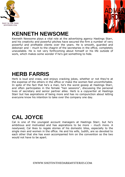



# **KENNETH NEWSOME**

Kenneth Newsome plays a vital role at the advertising agency Hastings Starr, and his creativity and powerful pitches have secured the firm a number of very powerful and profitable clients over the years. He is smooth, guarded and debonair and – much to the chagrin of the secretaries in the office, completely unavailable. He is not very forthcoming about himself or his life outside of work, which makes some wonder if he's got something to hide.

## **HERB FARRIS**

Herb is loud and crass, and enjoys cracking jokes, whether or not they're at the expense of the others in the office or make the women feel uncomfortable. In spite of the fact that he's a man, he's the worst gossip at Hastings Starr, and often participates in the female "hen sessions", discussing the personal lives of secretary and senior partner alike. Herb is a copywriter at Hastings Starr but has aspirations of being more and has no compunction about letting everyone know his intention to take over the company one day.

# **CAL JOYCE**

Cal is one of the youngest account managers at Hastings Starr, but he's ambitious and motivated and has aspirations to be more – much more. A newlywed, Cal likes to regale stories of his domestic bliss, especially to the single men and women in the office. He and his wife, Judith, are so devoted to each other that she has even accompanied him on the convention so the two would not have to be apart.